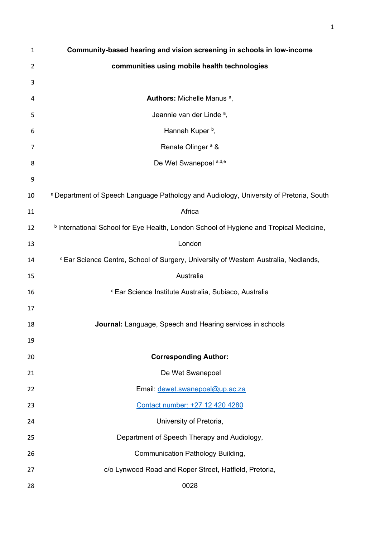| 1              | Community-based hearing and vision screening in schools in low-income                          |
|----------------|------------------------------------------------------------------------------------------------|
| $\overline{2}$ | communities using mobile health technologies                                                   |
| 3              |                                                                                                |
| 4              | <b>Authors:</b> Michelle Manus <sup>a</sup> ,                                                  |
| 5              | Jeannie van der Linde <sup>a</sup> ,                                                           |
| 6              | Hannah Kuper b,                                                                                |
| 7              | Renate Olinger <sup>a</sup> &                                                                  |
| 8              | De Wet Swanepoel a,d,e                                                                         |
| 9              |                                                                                                |
| 10             | a Department of Speech Language Pathology and Audiology, University of Pretoria, South         |
| 11             | Africa                                                                                         |
| 12             | <b>b</b> International School for Eye Health, London School of Hygiene and Tropical Medicine,  |
| 13             | London                                                                                         |
| 14             | <sup>d</sup> Ear Science Centre, School of Surgery, University of Western Australia, Nedlands, |
| 15             | Australia                                                                                      |
| 16             | <sup>e</sup> Ear Science Institute Australia, Subiaco, Australia                               |
| 17             |                                                                                                |
| 18             | Journal: Language, Speech and Hearing services in schools                                      |
| 19             |                                                                                                |
| 20             | <b>Corresponding Author:</b>                                                                   |
| 21             | De Wet Swanepoel                                                                               |
| 22             | Email: dewet.swanepoel@up.ac.za                                                                |
| 23             | Contact number: +27 12 420 4280                                                                |
| 24             | University of Pretoria,                                                                        |
| 25             | Department of Speech Therapy and Audiology,                                                    |
| 26             | Communication Pathology Building,                                                              |
| 27             | c/o Lynwood Road and Roper Street, Hatfield, Pretoria,                                         |
| 28             | 0028                                                                                           |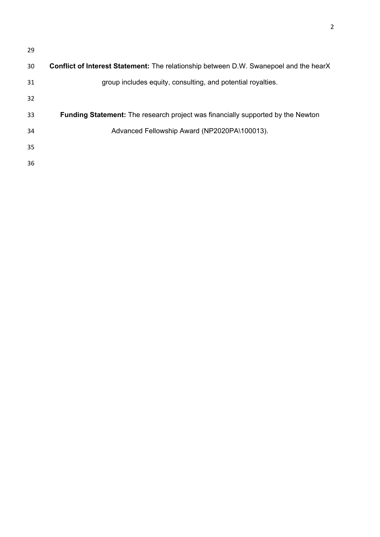| 29 |                                                                                              |
|----|----------------------------------------------------------------------------------------------|
| 30 | <b>Conflict of Interest Statement:</b> The relationship between D.W. Swanepoel and the hearX |
| 31 | group includes equity, consulting, and potential royalties.                                  |
| 32 |                                                                                              |
| 33 | <b>Funding Statement:</b> The research project was financially supported by the Newton       |
| 34 | Advanced Fellowship Award (NP2020PA\100013).                                                 |
| 35 |                                                                                              |
| 36 |                                                                                              |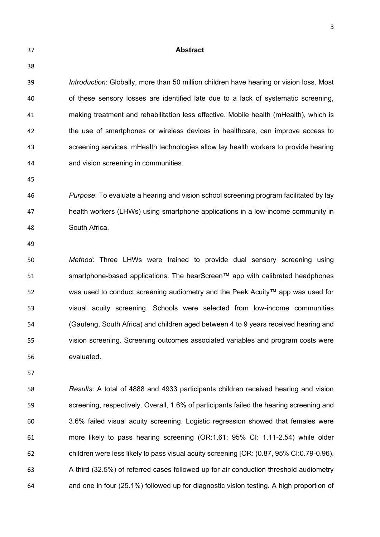| 37 | <b>Abstract</b>                                                                          |
|----|------------------------------------------------------------------------------------------|
| 38 |                                                                                          |
| 39 | Introduction: Globally, more than 50 million children have hearing or vision loss. Most  |
| 40 | of these sensory losses are identified late due to a lack of systematic screening,       |
| 41 | making treatment and rehabilitation less effective. Mobile health (mHealth), which is    |
| 42 | the use of smartphones or wireless devices in healthcare, can improve access to          |
| 43 | screening services. mHealth technologies allow lay health workers to provide hearing     |
| 44 | and vision screening in communities.                                                     |
| 45 |                                                                                          |
| 46 | Purpose: To evaluate a hearing and vision school screening program facilitated by lay    |
| 47 | health workers (LHWs) using smartphone applications in a low-income community in         |
| 48 | South Africa.                                                                            |
| 49 |                                                                                          |
| 50 | Method: Three LHWs were trained to provide dual sensory screening using                  |
| 51 | smartphone-based applications. The hearScreen™ app with calibrated headphones            |
| 52 | was used to conduct screening audiometry and the Peek Acuity™ app was used for           |
| 53 | visual acuity screening. Schools were selected from low-income communities               |
| 54 | (Gauteng, South Africa) and children aged between 4 to 9 years received hearing and      |
| 55 | vision screening. Screening outcomes associated variables and program costs were         |
| 56 | evaluated.                                                                               |
| 57 |                                                                                          |
| 58 | Results: A total of 4888 and 4933 participants children received hearing and vision      |
| 59 | screening, respectively. Overall, 1.6% of participants failed the hearing screening and  |
| 60 | 3.6% failed visual acuity screening. Logistic regression showed that females were        |
| 61 | more likely to pass hearing screening (OR:1.61; 95% CI: 1.11-2.54) while older           |
| 62 | children were less likely to pass visual acuity screening [OR: (0.87, 95% CI:0.79-0.96). |
| 63 | A third (32.5%) of referred cases followed up for air conduction threshold audiometry    |
| 64 | and one in four (25.1%) followed up for diagnostic vision testing. A high proportion of  |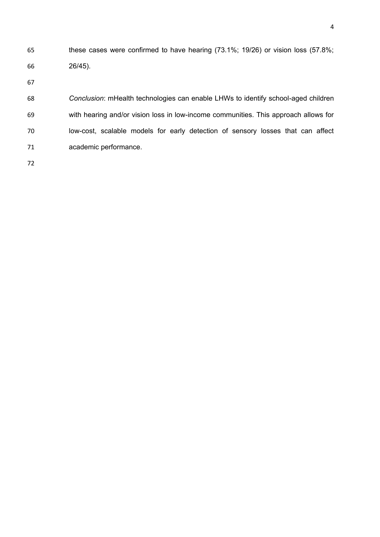these cases were confirmed to have hearing (73.1%; 19/26) or vision loss (57.8%; 26/45).

 *Conclusion*: mHealth technologies can enable LHWs to identify school-aged children with hearing and/or vision loss in low-income communities. This approach allows for low-cost, scalable models for early detection of sensory losses that can affect academic performance.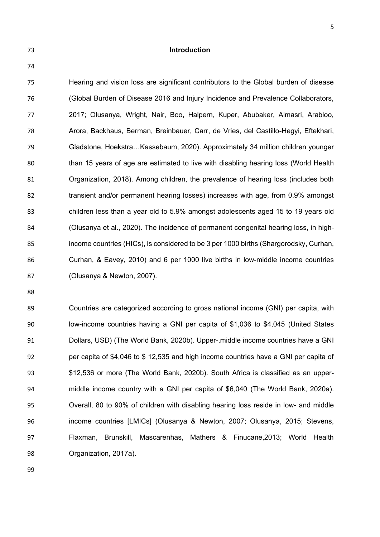**Introduction**

 Hearing and vision loss are significant contributors to the Global burden of disease (Global Burden of Disease 2016 and Injury Incidence and Prevalence Collaborators, 2017; Olusanya, Wright, Nair, Boo, Halpern, Kuper, Abubaker, Almasri, Arabloo, Arora, Backhaus, Berman, Breinbauer, Carr, de Vries, del Castillo-Hegyi, Eftekhari, Gladstone, Hoekstra…Kassebaum, 2020). Approximately 34 million children younger than 15 years of age are estimated to live with disabling hearing loss (World Health Organization, 2018). Among children, the prevalence of hearing loss (includes both 82 transient and/or permanent hearing losses) increases with age, from 0.9% amongst children less than a year old to 5.9% amongst adolescents aged 15 to 19 years old (Olusanya et al., 2020). The incidence of permanent congenital hearing loss, in high- income countries (HICs), is considered to be 3 per 1000 births (Shargorodsky, Curhan, Curhan, & Eavey, 2010) and 6 per 1000 live births in low-middle income countries (Olusanya & Newton, 2007).

 Countries are categorized according to gross national income (GNI) per capita, with low-income countries having a GNI per capita of \$1,036 to \$4,045 (United States Dollars, USD) (The World Bank, 2020b). Upper-,middle income countries have a GNI per capita of \$4,046 to \$ 12,535 and high income countries have a GNI per capita of \$12,536 or more (The World Bank, 2020b). South Africa is classified as an upper- middle income country with a GNI per capita of \$6,040 (The World Bank, 2020a). Overall, 80 to 90% of children with disabling hearing loss reside in low- and middle income countries [LMICs] (Olusanya & Newton, 2007; Olusanya, 2015; Stevens, Flaxman, Brunskill, Mascarenhas, Mathers & Finucane,2013; World Health Organization, 2017a).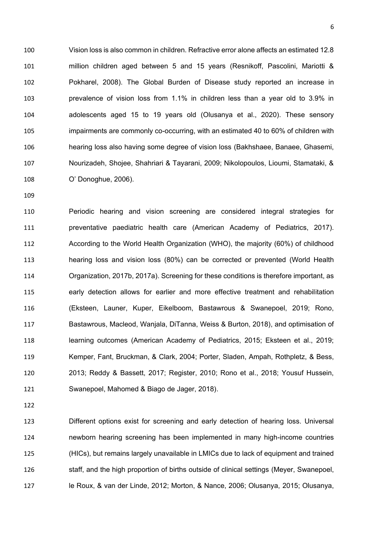Vision loss is also common in children. Refractive error alone affects an estimated 12.8 million children aged between 5 and 15 years (Resnikoff, Pascolini, Mariotti & Pokharel, 2008). The Global Burden of Disease study reported an increase in prevalence of vision loss from 1.1% in children less than a year old to 3.9% in adolescents aged 15 to 19 years old (Olusanya et al., 2020). These sensory impairments are commonly co-occurring, with an estimated 40 to 60% of children with hearing loss also having some degree of vision loss (Bakhshaee, Banaee, Ghasemi, Nourizadeh, Shojee, Shahriari & Tayarani, 2009; Nikolopoulos, Lioumi, Stamataki, & O' Donoghue, 2006).

 Periodic hearing and vision screening are considered integral strategies for preventative paediatric health care (American Academy of Pediatrics, 2017). According to the World Health Organization (WHO), the majority (60%) of childhood hearing loss and vision loss (80%) can be corrected or prevented (World Health Organization, 2017b, 2017a). Screening for these conditions is therefore important, as early detection allows for earlier and more effective treatment and rehabilitation (Eksteen, Launer, Kuper, Eikelboom, Bastawrous & Swanepoel, 2019; Rono, Bastawrous, Macleod, Wanjala, DiTanna, Weiss & Burton, 2018), and optimisation of learning outcomes (American Academy of Pediatrics, 2015; Eksteen et al., 2019; Kemper, Fant, Bruckman, & Clark, 2004; Porter, Sladen, Ampah, Rothpletz, & Bess, 2013; Reddy & Bassett, 2017; Register, 2010; Rono et al., 2018; Yousuf Hussein, Swanepoel, Mahomed & Biago de Jager, 2018).

 Different options exist for screening and early detection of hearing loss. Universal newborn hearing screening has been implemented in many high-income countries (HICs), but remains largely unavailable in LMICs due to lack of equipment and trained staff, and the high proportion of births outside of clinical settings (Meyer, Swanepoel, le Roux, & van der Linde, 2012; Morton, & Nance, 2006; Olusanya, 2015; Olusanya,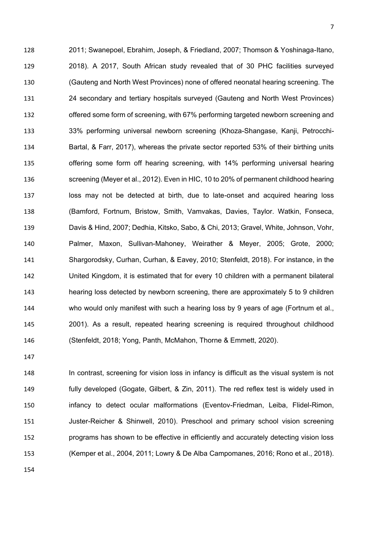2011; Swanepoel, Ebrahim, Joseph, & Friedland, 2007; Thomson & Yoshinaga-Itano, 2018). A 2017, South African study revealed that of 30 PHC facilities surveyed (Gauteng and North West Provinces) none of offered neonatal hearing screening. The 24 secondary and tertiary hospitals surveyed (Gauteng and North West Provinces) offered some form of screening, with 67% performing targeted newborn screening and 33% performing universal newborn screening (Khoza-Shangase, Kanji, Petrocchi- Bartal, & Farr, 2017), whereas the private sector reported 53% of their birthing units offering some form off hearing screening, with 14% performing universal hearing screening (Meyer et al., 2012). Even in HIC, 10 to 20% of permanent childhood hearing loss may not be detected at birth, due to late-onset and acquired hearing loss (Bamford, Fortnum, Bristow, Smith, Vamvakas, Davies, Taylor. Watkin, Fonseca, Davis & Hind, 2007; Dedhia, Kitsko, Sabo, & Chi, 2013; Gravel, White, Johnson, Vohr, Palmer, Maxon, Sullivan-Mahoney, Weirather & Meyer, 2005; Grote, 2000; Shargorodsky, Curhan, Curhan, & Eavey, 2010; Stenfeldt, 2018). For instance, in the United Kingdom, it is estimated that for every 10 children with a permanent bilateral hearing loss detected by newborn screening, there are approximately 5 to 9 children who would only manifest with such a hearing loss by 9 years of age (Fortnum et al., 2001). As a result, repeated hearing screening is required throughout childhood (Stenfeldt, 2018; Yong, Panth, McMahon, Thorne & Emmett, 2020).

148 In contrast, screening for vision loss in infancy is difficult as the visual system is not fully developed (Gogate, Gilbert, & Zin, 2011). The red reflex test is widely used in infancy to detect ocular malformations (Eventov-Friedman, Leiba, Flidel-Rimon, Juster-Reicher & Shinwell, 2010). Preschool and primary school vision screening programs has shown to be effective in efficiently and accurately detecting vision loss (Kemper et al., 2004, 2011; Lowry & De Alba Campomanes, 2016; Rono et al., 2018).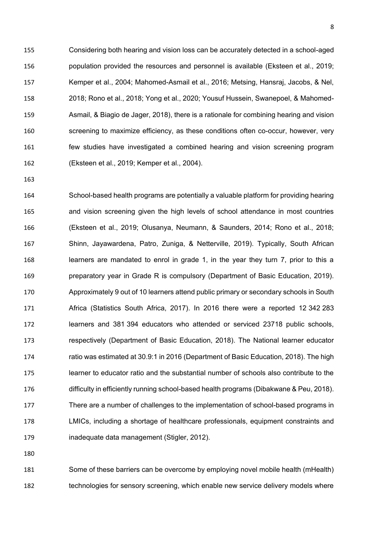Considering both hearing and vision loss can be accurately detected in a school-aged population provided the resources and personnel is available (Eksteen et al., 2019; Kemper et al., 2004; Mahomed-Asmail et al., 2016; Metsing, Hansraj, Jacobs, & Nel, 2018; Rono et al., 2018; Yong et al., 2020; Yousuf Hussein, Swanepoel, & Mahomed- Asmail, & Biagio de Jager, 2018), there is a rationale for combining hearing and vision screening to maximize efficiency, as these conditions often co-occur, however, very few studies have investigated a combined hearing and vision screening program (Eksteen et al., 2019; Kemper et al., 2004).

 School-based health programs are potentially a valuable platform for providing hearing and vision screening given the high levels of school attendance in most countries (Eksteen et al., 2019; Olusanya, Neumann, & Saunders, 2014; Rono et al., 2018; Shinn, Jayawardena, Patro, Zuniga, & Netterville, 2019). Typically, South African learners are mandated to enrol in grade 1, in the year they turn 7, prior to this a preparatory year in Grade R is compulsory (Department of Basic Education, 2019). Approximately 9 out of 10 learners attend public primary or secondary schools in South Africa (Statistics South Africa, 2017). In 2016 there were a reported 12 342 283 learners and 381 394 educators who attended or serviced 23718 public schools, respectively (Department of Basic Education, 2018). The National learner educator ratio was estimated at 30.9:1 in 2016 (Department of Basic Education, 2018). The high learner to educator ratio and the substantial number of schools also contribute to the difficulty in efficiently running school-based health programs (Dibakwane & Peu, 2018). There are a number of challenges to the implementation of school-based programs in LMICs, including a shortage of healthcare professionals, equipment constraints and inadequate data management (Stigler, 2012).

 Some of these barriers can be overcome by employing novel mobile health (mHealth) technologies for sensory screening, which enable new service delivery models where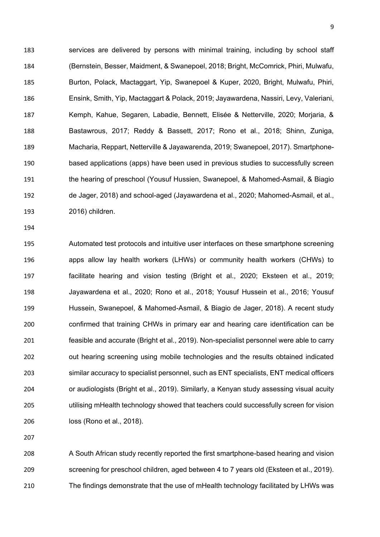services are delivered by persons with minimal training, including by school staff (Bernstein, Besser, Maidment, & Swanepoel, 2018; Bright, McComrick, Phiri, Mulwafu, Burton, Polack, Mactaggart, Yip, Swanepoel & Kuper, 2020, Bright, Mulwafu, Phiri, Ensink, Smith, Yip, Mactaggart & Polack, 2019; Jayawardena, Nassiri, Levy, Valeriani, Kemph, Kahue, Segaren, Labadie, Bennett, Elisée & Netterville, 2020; Morjaria, & Bastawrous, 2017; Reddy & Bassett, 2017; Rono et al., 2018; Shinn, Zuniga, Macharia, Reppart, Netterville & Jayawarenda, 2019; Swanepoel, 2017). Smartphone- based applications (apps) have been used in previous studies to successfully screen the hearing of preschool (Yousuf Hussien, Swanepoel, & Mahomed-Asmail, & Biagio de Jager, 2018) and school-aged (Jayawardena et al., 2020; Mahomed-Asmail, et al., 2016) children.

 Automated test protocols and intuitive user interfaces on these smartphone screening apps allow lay health workers (LHWs) or community health workers (CHWs) to facilitate hearing and vision testing (Bright et al., 2020; Eksteen et al., 2019; Jayawardena et al., 2020; Rono et al., 2018; Yousuf Hussein et al., 2016; Yousuf Hussein, Swanepoel, & Mahomed-Asmail, & Biagio de Jager, 2018). A recent study confirmed that training CHWs in primary ear and hearing care identification can be feasible and accurate (Bright et al., 2019). Non-specialist personnel were able to carry out hearing screening using mobile technologies and the results obtained indicated similar accuracy to specialist personnel, such as ENT specialists, ENT medical officers or audiologists (Bright et al., 2019). Similarly, a Kenyan study assessing visual acuity utilising mHealth technology showed that teachers could successfully screen for vision loss (Rono et al., 2018).

 A South African study recently reported the first smartphone-based hearing and vision screening for preschool children, aged between 4 to 7 years old (Eksteen et al., 2019). The findings demonstrate that the use of mHealth technology facilitated by LHWs was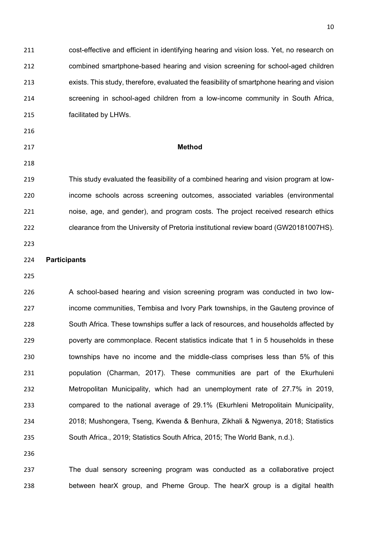| 211 | cost-effective and efficient in identifying hearing and vision loss. Yet, no research on  |
|-----|-------------------------------------------------------------------------------------------|
| 212 | combined smartphone-based hearing and vision screening for school-aged children           |
| 213 | exists. This study, therefore, evaluated the feasibility of smartphone hearing and vision |
| 214 | screening in school-aged children from a low-income community in South Africa,            |
| 215 | facilitated by LHWs.                                                                      |
| 216 |                                                                                           |
| 217 | <b>Method</b>                                                                             |
| 218 |                                                                                           |
| 219 | This study evaluated the feasibility of a combined hearing and vision program at low-     |
| 220 | income schools across screening outcomes, associated variables (environmental             |
| 221 | noise, age, and gender), and program costs. The project received research ethics          |
| 222 | clearance from the University of Pretoria institutional review board (GW20181007HS).      |
| 223 |                                                                                           |
| 224 | <b>Participants</b>                                                                       |
| 225 |                                                                                           |
| 226 | A school-based hearing and vision screening program was conducted in two low-             |
| 227 | income communities, Tembisa and Ivory Park townships, in the Gauteng province of          |
| 228 | South Africa. These townships suffer a lack of resources, and households affected by      |
| 229 | poverty are commonplace. Recent statistics indicate that 1 in 5 households in these       |
| 230 | townships have no income and the middle-class comprises less than 5% of this              |
| 231 | population (Charman, 2017). These communities are part of the Ekurhuleni                  |
| 232 | Metropolitan Municipality, which had an unemployment rate of 27.7% in 2019,               |
| 233 | compared to the national average of 29.1% (Ekurhleni Metropolitain Municipality,          |
| 234 | 2018; Mushongera, Tseng, Kwenda & Benhura, Zikhali & Ngwenya, 2018; Statistics            |
| 235 | South Africa., 2019; Statistics South Africa, 2015; The World Bank, n.d.).                |
| 236 |                                                                                           |
|     |                                                                                           |

 The dual sensory screening program was conducted as a collaborative project between hearX group, and Pheme Group. The hearX group is a digital health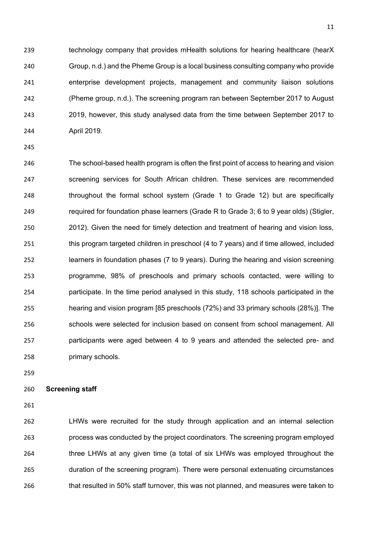239 technology company that provides mHealth solutions for hearing healthcare (hearX Group, n.d.) and the Pheme Group is a local business consulting company who provide enterprise development projects, management and community liaison solutions (Pheme group, n.d.). The screening program ran between September 2017 to August 2019, however, this study analysed data from the time between September 2017 to April 2019.

 The school-based health program is often the first point of access to hearing and vision screening services for South African children. These services are recommended 248 throughout the formal school system (Grade 1 to Grade 12) but are specifically required for foundation phase learners (Grade R to Grade 3; 6 to 9 year olds) (Stigler, 2012). Given the need for timely detection and treatment of hearing and vision loss, this program targeted children in preschool (4 to 7 years) and if time allowed, included learners in foundation phases (7 to 9 years). During the hearing and vision screening programme, 98% of preschools and primary schools contacted, were willing to participate. In the time period analysed in this study, 118 schools participated in the hearing and vision program [85 preschools (72%) and 33 primary schools (28%)]. The schools were selected for inclusion based on consent from school management. All participants were aged between 4 to 9 years and attended the selected pre- and primary schools.

### **Screening staff**

 LHWs were recruited for the study through application and an internal selection process was conducted by the project coordinators. The screening program employed three LHWs at any given time (a total of six LHWs was employed throughout the duration of the screening program). There were personal extenuating circumstances that resulted in 50% staff turnover, this was not planned, and measures were taken to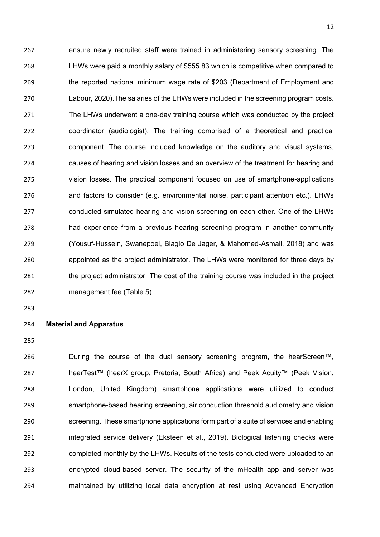ensure newly recruited staff were trained in administering sensory screening. The LHWs were paid a monthly salary of \$555.83 which is competitive when compared to the reported national minimum wage rate of \$203 (Department of Employment and Labour, 2020).The salaries of the LHWs were included in the screening program costs. The LHWs underwent a one-day training course which was conducted by the project coordinator (audiologist). The training comprised of a theoretical and practical component. The course included knowledge on the auditory and visual systems, causes of hearing and vision losses and an overview of the treatment for hearing and vision losses. The practical component focused on use of smartphone-applications and factors to consider (e.g. environmental noise, participant attention etc.). LHWs conducted simulated hearing and vision screening on each other. One of the LHWs had experience from a previous hearing screening program in another community (Yousuf-Hussein, Swanepoel, Biagio De Jager, & Mahomed-Asmail, 2018) and was appointed as the project administrator. The LHWs were monitored for three days by the project administrator. The cost of the training course was included in the project management fee (Table 5).

# **Material and Apparatus**

 During the course of the dual sensory screening program, the hearScreen™, hearTest™ (hearX group, Pretoria, South Africa) and Peek Acuity™ (Peek Vision, London, United Kingdom) smartphone applications were utilized to conduct smartphone-based hearing screening, air conduction threshold audiometry and vision screening. These smartphone applications form part of a suite of services and enabling 291 integrated service delivery (Eksteen et al., 2019). Biological listening checks were completed monthly by the LHWs. Results of the tests conducted were uploaded to an encrypted cloud-based server. The security of the mHealth app and server was maintained by utilizing local data encryption at rest using Advanced Encryption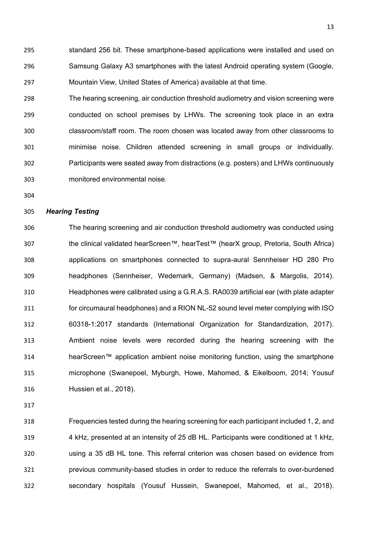standard 256 bit. These smartphone-based applications were installed and used on Samsung Galaxy A3 smartphones with the latest Android operating system (Google, Mountain View, United States of America) available at that time.

 The hearing screening, air conduction threshold audiometry and vision screening were conducted on school premises by LHWs. The screening took place in an extra classroom/staff room. The room chosen was located away from other classrooms to minimise noise. Children attended screening in small groups or individually. Participants were seated away from distractions (e.g. posters) and LHWs continuously monitored environmental noise.

## *Hearing Testing*

 The hearing screening and air conduction threshold audiometry was conducted using the clinical validated hearScreen™, hearTest™ (hearX group, Pretoria, South Africa) applications on smartphones connected to supra-aural Sennheiser HD 280 Pro headphones (Sennheiser, Wedemark, Germany) (Madsen, & Margolis, 2014). Headphones were calibrated using a G.R.A.S. RA0039 artificial ear (with plate adapter for circumaural headphones) and a RION NL-52 sound level meter complying with ISO 60318-1:2017 standards (International Organization for Standardization, 2017). Ambient noise levels were recorded during the hearing screening with the hearScreen™ application ambient noise monitoring function, using the smartphone microphone (Swanepoel, Myburgh, Howe, Mahomed, & Eikelboom, 2014; Yousuf Hussien et al., 2018).

 Frequencies tested during the hearing screening for each participant included 1, 2, and 4 kHz, presented at an intensity of 25 dB HL. Participants were conditioned at 1 kHz, using a 35 dB HL tone. This referral criterion was chosen based on evidence from previous community-based studies in order to reduce the referrals to over-burdened secondary hospitals (Yousuf Hussein, Swanepoel, Mahomed, et al., 2018).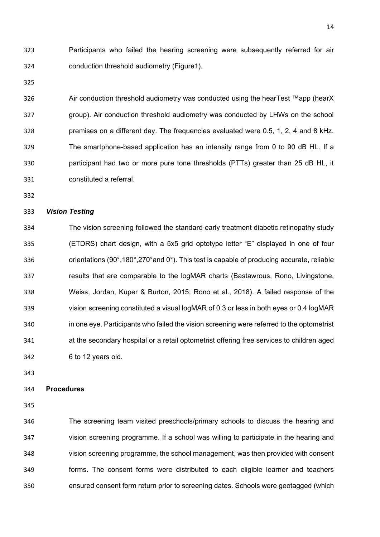Participants who failed the hearing screening were subsequently referred for air conduction threshold audiometry (Figure1).

 Air conduction threshold audiometry was conducted using the hearTest ™app (hearX group). Air conduction threshold audiometry was conducted by LHWs on the school premises on a different day. The frequencies evaluated were 0.5, 1, 2, 4 and 8 kHz. The smartphone-based application has an intensity range from 0 to 90 dB HL. If a participant had two or more pure tone thresholds (PTTs) greater than 25 dB HL, it constituted a referral.

### *Vision Testing*

 The vision screening followed the standard early treatment diabetic retinopathy study (ETDRS) chart design, with a 5x5 grid optotype letter "E" displayed in one of four orientations (90°,180°,270°and 0°). This test is capable of producing accurate, reliable results that are comparable to the logMAR charts (Bastawrous, Rono, Livingstone, Weiss, Jordan, Kuper & Burton, 2015; Rono et al., 2018). A failed response of the vision screening constituted a visual logMAR of 0.3 or less in both eyes or 0.4 logMAR in one eye. Participants who failed the vision screening were referred to the optometrist at the secondary hospital or a retail optometrist offering free services to children aged 6 to 12 years old.

### **Procedures**

 The screening team visited preschools/primary schools to discuss the hearing and vision screening programme. If a school was willing to participate in the hearing and vision screening programme, the school management, was then provided with consent forms. The consent forms were distributed to each eligible learner and teachers ensured consent form return prior to screening dates. Schools were geotagged (which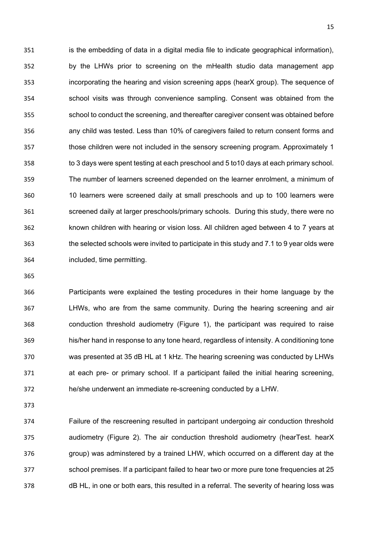is the embedding of data in a digital media file to indicate geographical information), by the LHWs prior to screening on the mHealth studio data management app incorporating the hearing and vision screening apps (hearX group). The sequence of school visits was through convenience sampling. Consent was obtained from the school to conduct the screening, and thereafter caregiver consent was obtained before any child was tested. Less than 10% of caregivers failed to return consent forms and those children were not included in the sensory screening program. Approximately 1 to 3 days were spent testing at each preschool and 5 to10 days at each primary school. The number of learners screened depended on the learner enrolment, a minimum of 10 learners were screened daily at small preschools and up to 100 learners were screened daily at larger preschools/primary schools. During this study, there were no known children with hearing or vision loss. All children aged between 4 to 7 years at the selected schools were invited to participate in this study and 7.1 to 9 year olds were included, time permitting.

 Participants were explained the testing procedures in their home language by the LHWs, who are from the same community. During the hearing screening and air conduction threshold audiometry (Figure 1), the participant was required to raise his/her hand in response to any tone heard, regardless of intensity. A conditioning tone was presented at 35 dB HL at 1 kHz. The hearing screening was conducted by LHWs at each pre- or primary school. If a participant failed the initial hearing screening, he/she underwent an immediate re-screening conducted by a LHW.

 Failure of the rescreening resulted in partcipant undergoing air conduction threshold audiometry (Figure 2). The air conduction threshold audiometry (hearTest. hearX group) was adminstered by a trained LHW, which occurred on a different day at the school premises. If a participant failed to hear two or more pure tone frequencies at 25 dB HL, in one or both ears, this resulted in a referral. The severity of hearing loss was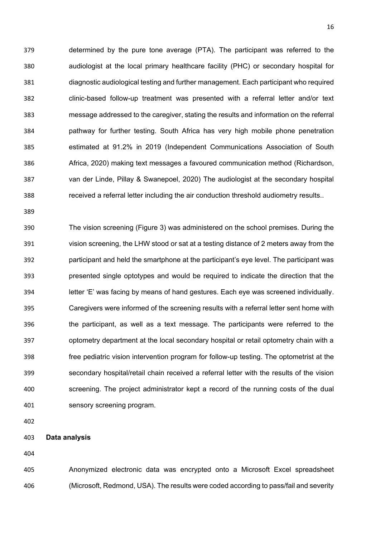determined by the pure tone average (PTA). The participant was referred to the audiologist at the local primary healthcare facility (PHC) or secondary hospital for diagnostic audiological testing and further management. Each participant who required clinic-based follow-up treatment was presented with a referral letter and/or text message addressed to the caregiver, stating the results and information on the referral pathway for further testing. South Africa has very high mobile phone penetration estimated at 91.2% in 2019 (Independent Communications Association of South Africa, 2020) making text messages a favoured communication method (Richardson, van der Linde, Pillay & Swanepoel, 2020) The audiologist at the secondary hospital received a referral letter including the air conduction threshold audiometry results..

 The vision screening (Figure 3) was administered on the school premises. During the vision screening, the LHW stood or sat at a testing distance of 2 meters away from the participant and held the smartphone at the participant's eye level. The participant was presented single optotypes and would be required to indicate the direction that the letter 'E' was facing by means of hand gestures. Each eye was screened individually. Caregivers were informed of the screening results with a referral letter sent home with the participant, as well as a text message. The participants were referred to the optometry department at the local secondary hospital or retail optometry chain with a free pediatric vision intervention program for follow-up testing. The optometrist at the secondary hospital/retail chain received a referral letter with the results of the vision screening. The project administrator kept a record of the running costs of the dual sensory screening program.

**Data analysis**

 Anonymized electronic data was encrypted onto a Microsoft Excel spreadsheet (Microsoft, Redmond, USA). The results were coded according to pass/fail and severity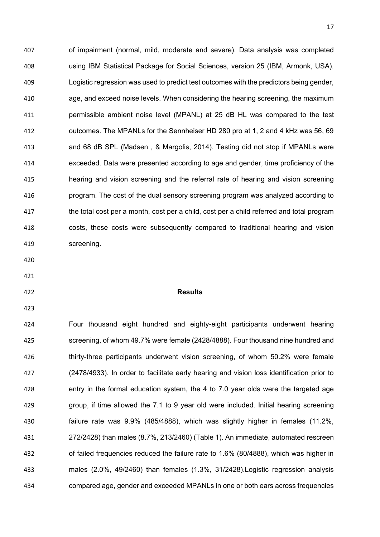of impairment (normal, mild, moderate and severe). Data analysis was completed using IBM Statistical Package for Social Sciences, version 25 (IBM, Armonk, USA). Logistic regression was used to predict test outcomes with the predictors being gender, age, and exceed noise levels. When considering the hearing screening, the maximum permissible ambient noise level (MPANL) at 25 dB HL was compared to the test outcomes. The MPANLs for the Sennheiser HD 280 pro at 1, 2 and 4 kHz was 56, 69 and 68 dB SPL (Madsen , & Margolis, 2014). Testing did not stop if MPANLs were exceeded. Data were presented according to age and gender, time proficiency of the hearing and vision screening and the referral rate of hearing and vision screening program. The cost of the dual sensory screening program was analyzed according to 417 the total cost per a month, cost per a child, cost per a child referred and total program costs, these costs were subsequently compared to traditional hearing and vision screening.

## **Results**

 Four thousand eight hundred and eighty-eight participants underwent hearing screening, of whom 49.7% were female (2428/4888). Four thousand nine hundred and 426 thirty-three participants underwent vision screening, of whom 50.2% were female (2478/4933). In order to facilitate early hearing and vision loss identification prior to entry in the formal education system, the 4 to 7.0 year olds were the targeted age group, if time allowed the 7.1 to 9 year old were included. Initial hearing screening failure rate was 9.9% (485/4888), which was slightly higher in females (11.2%, 272/2428) than males (8.7%, 213/2460) (Table 1). An immediate, automated rescreen of failed frequencies reduced the failure rate to 1.6% (80/4888), which was higher in males (2.0%, 49/2460) than females (1.3%, 31/2428).Logistic regression analysis compared age, gender and exceeded MPANLs in one or both ears across frequencies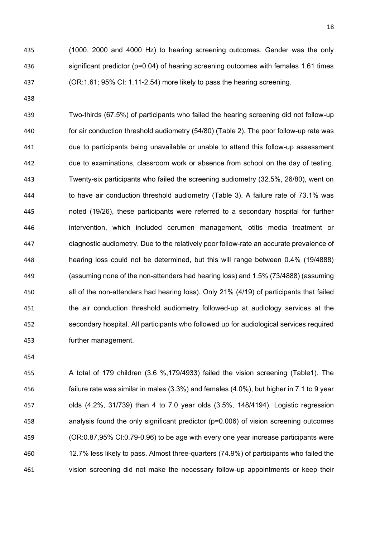(1000, 2000 and 4000 Hz) to hearing screening outcomes. Gender was the only significant predictor (p=0.04) of hearing screening outcomes with females 1.61 times (OR:1.61; 95% CI: 1.11-2.54) more likely to pass the hearing screening.

 Two-thirds (67.5%) of participants who failed the hearing screening did not follow-up for air conduction threshold audiometry (54/80) (Table 2). The poor follow-up rate was due to participants being unavailable or unable to attend this follow-up assessment due to examinations, classroom work or absence from school on the day of testing. Twenty-six participants who failed the screening audiometry (32.5%, 26/80), went on to have air conduction threshold audiometry (Table 3). A failure rate of 73.1% was noted (19/26), these participants were referred to a secondary hospital for further intervention, which included cerumen management, otitis media treatment or diagnostic audiometry. Due to the relatively poor follow-rate an accurate prevalence of hearing loss could not be determined, but this will range between 0.4% (19/4888) (assuming none of the non-attenders had hearing loss) and 1.5% (73/4888) (assuming all of the non-attenders had hearing loss). Only 21% (4/19) of participants that failed the air conduction threshold audiometry followed-up at audiology services at the secondary hospital. All participants who followed up for audiological services required further management.

 A total of 179 children (3.6 %,179/4933) failed the vision screening (Table1). The failure rate was similar in males (3.3%) and females (4.0%), but higher in 7.1 to 9 year olds (4.2%, 31/739) than 4 to 7.0 year olds (3.5%, 148/4194). Logistic regression analysis found the only significant predictor (p=0.006) of vision screening outcomes (OR:0.87,95% CI:0.79-0.96) to be age with every one year increase participants were 12.7% less likely to pass. Almost three-quarters (74.9%) of participants who failed the vision screening did not make the necessary follow-up appointments or keep their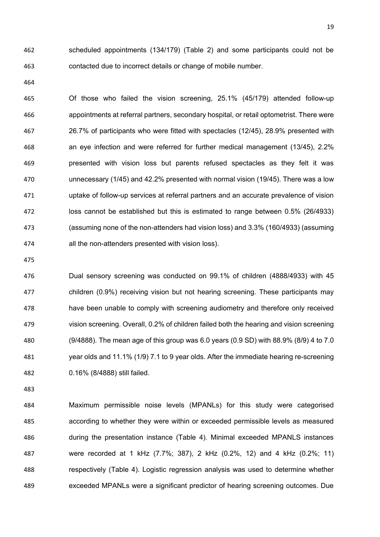scheduled appointments (134/179) (Table 2) and some participants could not be contacted due to incorrect details or change of mobile number.

 Of those who failed the vision screening, 25.1% (45/179) attended follow-up appointments at referral partners, secondary hospital, or retail optometrist. There were 26.7% of participants who were fitted with spectacles (12/45), 28.9% presented with an eye infection and were referred for further medical management (13/45), 2.2% presented with vision loss but parents refused spectacles as they felt it was unnecessary (1/45) and 42.2% presented with normal vision (19/45). There was a low uptake of follow-up services at referral partners and an accurate prevalence of vision loss cannot be established but this is estimated to range between 0.5% (26/4933) (assuming none of the non-attenders had vision loss) and 3.3% (160/4933) (assuming all the non-attenders presented with vision loss).

 Dual sensory screening was conducted on 99.1% of children (4888/4933) with 45 children (0.9%) receiving vision but not hearing screening. These participants may have been unable to comply with screening audiometry and therefore only received vision screening. Overall, 0.2% of children failed both the hearing and vision screening (9/4888). The mean age of this group was 6.0 years (0.9 SD) with 88.9% (8/9) 4 to 7.0 year olds and 11.1% (1/9) 7.1 to 9 year olds. After the immediate hearing re-screening 0.16% (8/4888) still failed.

 Maximum permissible noise levels (MPANLs) for this study were categorised according to whether they were within or exceeded permissible levels as measured during the presentation instance (Table 4). Minimal exceeded MPANLS instances were recorded at 1 kHz (7.7%; 387), 2 kHz (0.2%, 12) and 4 kHz (0.2%; 11) respectively (Table 4). Logistic regression analysis was used to determine whether exceeded MPANLs were a significant predictor of hearing screening outcomes. Due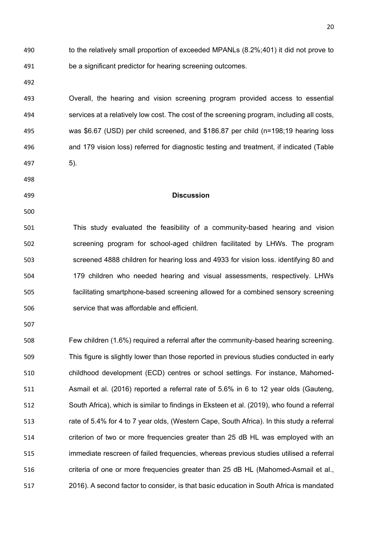to the relatively small proportion of exceeded MPANLs (8.2%;401) it did not prove to be a significant predictor for hearing screening outcomes.

 Overall, the hearing and vision screening program provided access to essential services at a relatively low cost. The cost of the screening program, including all costs, was \$6.67 (USD) per child screened, and \$186.87 per child (n=198;19 hearing loss and 179 vision loss) referred for diagnostic testing and treatment, if indicated (Table 5).

- 
- 

### **Discussion**

 This study evaluated the feasibility of a community-based hearing and vision screening program for school-aged children facilitated by LHWs. The program screened 4888 children for hearing loss and 4933 for vision loss. identifying 80 and 179 children who needed hearing and visual assessments, respectively. LHWs facilitating smartphone-based screening allowed for a combined sensory screening service that was affordable and efficient.

 Few children (1.6%) required a referral after the community-based hearing screening. This figure is slightly lower than those reported in previous studies conducted in early childhood development (ECD) centres or school settings. For instance, Mahomed- Asmail et al. (2016) reported a referral rate of 5.6% in 6 to 12 year olds (Gauteng, South Africa), which is similar to findings in Eksteen et al. (2019), who found a referral rate of 5.4% for 4 to 7 year olds, (Western Cape, South Africa). In this study a referral criterion of two or more frequencies greater than 25 dB HL was employed with an immediate rescreen of failed frequencies, whereas previous studies utilised a referral 516 criteria of one or more frequencies greater than 25 dB HL (Mahomed-Asmail et al., 2016). A second factor to consider, is that basic education in South Africa is mandated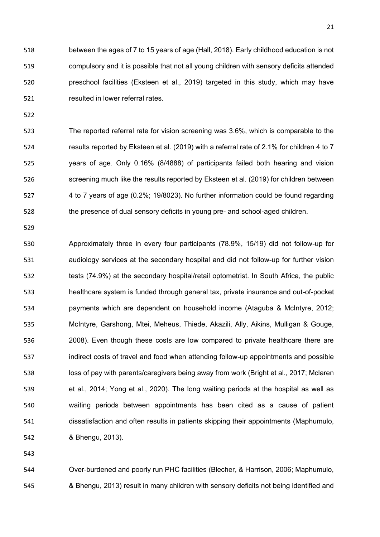between the ages of 7 to 15 years of age (Hall, 2018). Early childhood education is not compulsory and it is possible that not all young children with sensory deficits attended preschool facilities (Eksteen et al., 2019) targeted in this study, which may have resulted in lower referral rates.

 The reported referral rate for vision screening was 3.6%, which is comparable to the results reported by Eksteen et al. (2019) with a referral rate of 2.1% for children 4 to 7 years of age. Only 0.16% (8/4888) of participants failed both hearing and vision screening much like the results reported by Eksteen et al. (2019) for children between 4 to 7 years of age (0.2%; 19/8023). No further information could be found regarding the presence of dual sensory deficits in young pre- and school-aged children.

 Approximately three in every four participants (78.9%, 15/19) did not follow-up for audiology services at the secondary hospital and did not follow-up for further vision 532 tests (74.9%) at the secondary hospital/retail optometrist. In South Africa, the public healthcare system is funded through general tax, private insurance and out-of-pocket payments which are dependent on household income (Ataguba & McIntyre, 2012; McIntyre, Garshong, Mtei, Meheus, Thiede, Akazili, Ally, Aikins, Mulligan & Gouge, 2008). Even though these costs are low compared to private healthcare there are indirect costs of travel and food when attending follow-up appointments and possible loss of pay with parents/caregivers being away from work (Bright et al., 2017; Mclaren et al., 2014; Yong et al., 2020). The long waiting periods at the hospital as well as waiting periods between appointments has been cited as a cause of patient dissatisfaction and often results in patients skipping their appointments (Maphumulo, & Bhengu, 2013).

 Over-burdened and poorly run PHC facilities (Blecher, & Harrison, 2006; Maphumulo, & Bhengu, 2013) result in many children with sensory deficits not being identified and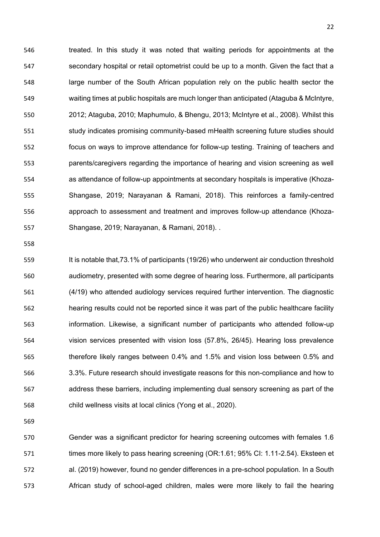treated. In this study it was noted that waiting periods for appointments at the 547 secondary hospital or retail optometrist could be up to a month. Given the fact that a large number of the South African population rely on the public health sector the waiting times at public hospitals are much longer than anticipated (Ataguba & McIntyre, 2012; Ataguba, 2010; Maphumulo, & Bhengu, 2013; McIntyre et al., 2008). Whilst this 551 study indicates promising community-based mHealth screening future studies should focus on ways to improve attendance for follow-up testing. Training of teachers and parents/caregivers regarding the importance of hearing and vision screening as well as attendance of follow-up appointments at secondary hospitals is imperative (Khoza- Shangase, 2019; Narayanan & Ramani, 2018). This reinforces a family-centred approach to assessment and treatment and improves follow-up attendance (Khoza-Shangase, 2019; Narayanan, & Ramani, 2018). .

559 It is notable that, 73.1% of participants (19/26) who underwent air conduction threshold audiometry, presented with some degree of hearing loss. Furthermore, all participants (4/19) who attended audiology services required further intervention. The diagnostic hearing results could not be reported since it was part of the public healthcare facility information. Likewise, a significant number of participants who attended follow-up vision services presented with vision loss (57.8%, 26/45). Hearing loss prevalence therefore likely ranges between 0.4% and 1.5% and vision loss between 0.5% and 3.3%. Future research should investigate reasons for this non-compliance and how to address these barriers, including implementing dual sensory screening as part of the child wellness visits at local clinics (Yong et al., 2020).

 Gender was a significant predictor for hearing screening outcomes with females 1.6 571 times more likely to pass hearing screening (OR:1.61; 95% CI: 1.11-2.54). Eksteen et al. (2019) however, found no gender differences in a pre-school population. In a South African study of school-aged children, males were more likely to fail the hearing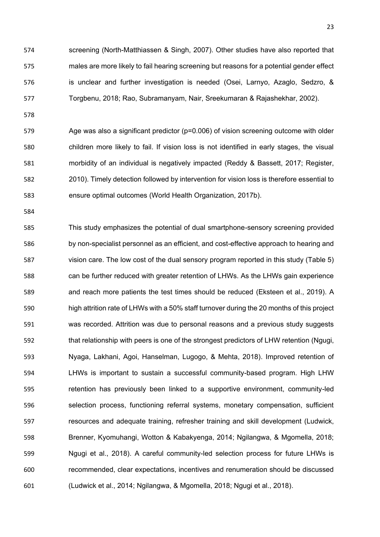screening (North-Matthiassen & Singh, 2007). Other studies have also reported that males are more likely to fail hearing screening but reasons for a potential gender effect is unclear and further investigation is needed (Osei, Larnyo, Azaglo, Sedzro, & Torgbenu, 2018; Rao, Subramanyam, Nair, Sreekumaran & Rajashekhar, 2002).

 Age was also a significant predictor (p=0.006) of vision screening outcome with older children more likely to fail. If vision loss is not identified in early stages, the visual morbidity of an individual is negatively impacted (Reddy & Bassett, 2017; Register, 2010). Timely detection followed by intervention for vision loss is therefore essential to ensure optimal outcomes (World Health Organization, 2017b).

 This study emphasizes the potential of dual smartphone-sensory screening provided by non-specialist personnel as an efficient, and cost-effective approach to hearing and vision care. The low cost of the dual sensory program reported in this study (Table 5) can be further reduced with greater retention of LHWs. As the LHWs gain experience and reach more patients the test times should be reduced (Eksteen et al., 2019). A high attrition rate of LHWs with a 50% staff turnover during the 20 months of this project was recorded. Attrition was due to personal reasons and a previous study suggests 592 that relationship with peers is one of the strongest predictors of LHW retention (Ngugi, Nyaga, Lakhani, Agoi, Hanselman, Lugogo, & Mehta, 2018). Improved retention of LHWs is important to sustain a successful community-based program. High LHW retention has previously been linked to a supportive environment, community-led selection process, functioning referral systems, monetary compensation, sufficient resources and adequate training, refresher training and skill development (Ludwick, Brenner, Kyomuhangi, Wotton & Kabakyenga, 2014; Ngilangwa, & Mgomella, 2018; Ngugi et al., 2018). A careful community-led selection process for future LHWs is recommended, clear expectations, incentives and renumeration should be discussed (Ludwick et al., 2014; Ngilangwa, & Mgomella, 2018; Ngugi et al., 2018).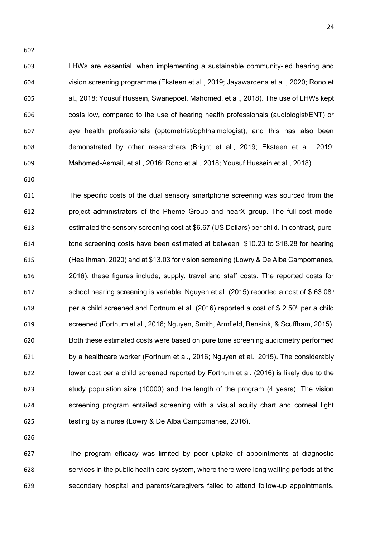LHWs are essential, when implementing a sustainable community-led hearing and vision screening programme (Eksteen et al., 2019; Jayawardena et al., 2020; Rono et al., 2018; Yousuf Hussein, Swanepoel, Mahomed, et al., 2018). The use of LHWs kept costs low, compared to the use of hearing health professionals (audiologist/ENT) or eye health professionals (optometrist/ophthalmologist), and this has also been demonstrated by other researchers (Bright et al., 2019; Eksteen et al., 2019; Mahomed-Asmail, et al., 2016; Rono et al., 2018; Yousuf Hussein et al., 2018).

 The specific costs of the dual sensory smartphone screening was sourced from the project administrators of the Pheme Group and hearX group. The full-cost model estimated the sensory screening cost at \$6.67 (US Dollars) per child. In contrast, pure- tone screening costs have been estimated at between \$10.23 to \$18.28 for hearing (Healthman, 2020) and at \$13.03 for vision screening (Lowry & De Alba Campomanes, 2016), these figures include, supply, travel and staff costs. The reported costs for 617 school hearing screening is variable. Nguyen et al. (2015) reported a cost of  $$63.08<sup>a</sup>$ 618 ber a child screened and Fortnum et al. (2016) reported a cost of \$ 2.50 $^{\circ}$  per a child screened (Fortnum et al., 2016; Nguyen, Smith, Armfield, Bensink, & Scuffham, 2015). Both these estimated costs were based on pure tone screening audiometry performed by a healthcare worker (Fortnum et al., 2016; Nguyen et al., 2015). The considerably lower cost per a child screened reported by Fortnum et al. (2016) is likely due to the study population size (10000) and the length of the program (4 years). The vision screening program entailed screening with a visual acuity chart and corneal light testing by a nurse (Lowry & De Alba Campomanes, 2016).

 The program efficacy was limited by poor uptake of appointments at diagnostic services in the public health care system, where there were long waiting periods at the secondary hospital and parents/caregivers failed to attend follow-up appointments.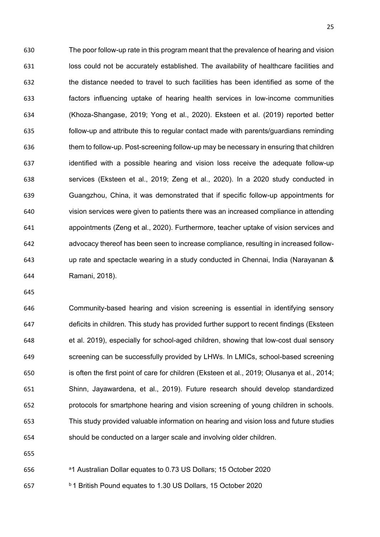The poor follow-up rate in this program meant that the prevalence of hearing and vision 631 loss could not be accurately established. The availability of healthcare facilities and the distance needed to travel to such facilities has been identified as some of the factors influencing uptake of hearing health services in low-income communities (Khoza-Shangase, 2019; Yong et al., 2020). Eksteen et al. (2019) reported better follow-up and attribute this to regular contact made with parents/guardians reminding them to follow-up. Post-screening follow-up may be necessary in ensuring that children identified with a possible hearing and vision loss receive the adequate follow-up services (Eksteen et al., 2019; Zeng et al., 2020). In a 2020 study conducted in Guangzhou, China, it was demonstrated that if specific follow-up appointments for vision services were given to patients there was an increased compliance in attending appointments (Zeng et al., 2020). Furthermore, teacher uptake of vision services and advocacy thereof has been seen to increase compliance, resulting in increased follow- up rate and spectacle wearing in a study conducted in Chennai, India (Narayanan & Ramani, 2018).

 Community-based hearing and vision screening is essential in identifying sensory deficits in children. This study has provided further support to recent findings (Eksteen et al. 2019), especially for school-aged children, showing that low-cost dual sensory screening can be successfully provided by LHWs. In LMICs, school-based screening is often the first point of care for children (Eksteen et al., 2019; Olusanya et al., 2014; Shinn, Jayawardena, et al., 2019). Future research should develop standardized protocols for smartphone hearing and vision screening of young children in schools. This study provided valuable information on hearing and vision loss and future studies should be conducted on a larger scale and involving older children.

<sup>a</sup> 1 Australian Dollar equates to 0.73 US Dollars; 15 October 2020

<sup>b</sup> 1 British Pound equates to 1.30 US Dollars, 15 October 2020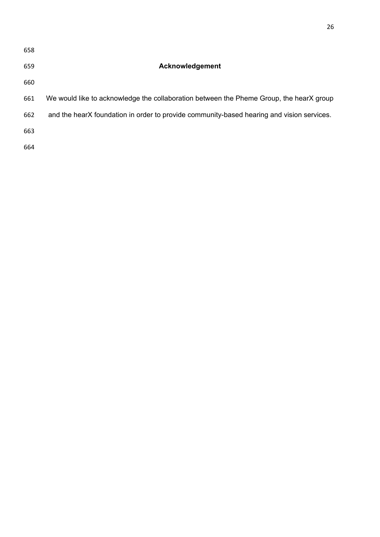| 658 |                                                                                           |
|-----|-------------------------------------------------------------------------------------------|
| 659 | Acknowledgement                                                                           |
| 660 |                                                                                           |
| 661 | We would like to acknowledge the collaboration between the Pheme Group, the hearX group   |
| 662 | and the hearX foundation in order to provide community-based hearing and vision services. |
| 663 |                                                                                           |
| 664 |                                                                                           |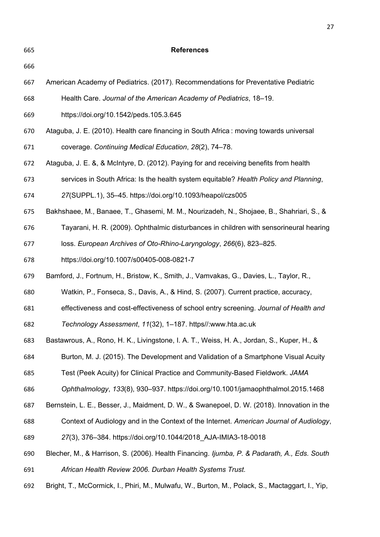**References** American Academy of Pediatrics. (2017). Recommendations for Preventative Pediatric Health Care. *Journal of the American Academy of Pediatrics*, 18–19. https://doi.org/10.1542/peds.105.3.645 Ataguba, J. E. (2010). Health care financing in South Africa : moving towards universal coverage. *Continuing Medical Education*, *28*(2), 74–78. Ataguba, J. E. &, & McIntyre, D. (2012). Paying for and receiving benefits from health services in South Africa: Is the health system equitable? *Health Policy and Planning*, *27*(SUPPL.1), 35–45. https://doi.org/10.1093/heapol/czs005 Bakhshaee, M., Banaee, T., Ghasemi, M. M., Nourizadeh, N., Shojaee, B., Shahriari, S., & Tayarani, H. R. (2009). Ophthalmic disturbances in children with sensorineural hearing loss. *European Archives of Oto-Rhino-Laryngology*, *266*(6), 823–825. https://doi.org/10.1007/s00405-008-0821-7 Bamford, J., Fortnum, H., Bristow, K., Smith, J., Vamvakas, G., Davies, L., Taylor, R., Watkin, P., Fonseca, S., Davis, A., & Hind, S. (2007). Current practice, accuracy, effectiveness and cost-effectiveness of school entry screening. *Journal of Health and Technology Assessment*, *11*(32), 1–187. https//:www.hta.ac.uk Bastawrous, A., Rono, H. K., Livingstone, I. A. T., Weiss, H. A., Jordan, S., Kuper, H., & Burton, M. J. (2015). The Development and Validation of a Smartphone Visual Acuity Test (Peek Acuity) for Clinical Practice and Community-Based Fieldwork. *JAMA Ophthalmology*, *133*(8), 930–937. https://doi.org/10.1001/jamaophthalmol.2015.1468 Bernstein, L. E., Besser, J., Maidment, D. W., & Swanepoel, D. W. (2018). Innovation in the Context of Audiology and in the Context of the Internet. *American Journal of Audiology*, *27*(3), 376–384. https://doi.org/10.1044/2018\_AJA-IMIA3-18-0018 Blecher, M., & Harrison, S. (2006). Health Financing. *Ijumba, P. & Padarath, A., Eds. South African Health Review 2006. Durban Health Systems Trust.* Bright, T., McCormick, I., Phiri, M., Mulwafu, W., Burton, M., Polack, S., Mactaggart, I., Yip,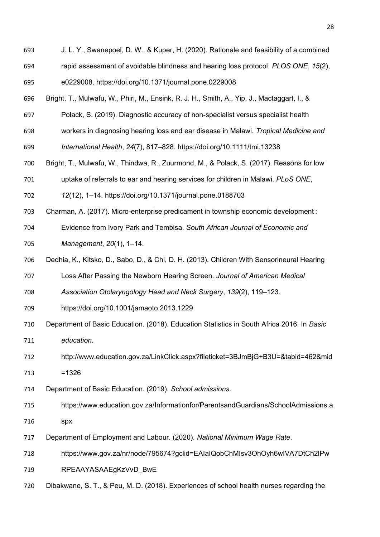- J. L. Y., Swanepoel, D. W., & Kuper, H. (2020). Rationale and feasibility of a combined rapid assessment of avoidable blindness and hearing loss protocol. *PLOS ONE*, *15*(2),
- e0229008. https://doi.org/10.1371/journal.pone.0229008
- Bright, T., Mulwafu, W., Phiri, M., Ensink, R. J. H., Smith, A., Yip, J., Mactaggart, I., &
- Polack, S. (2019). Diagnostic accuracy of non-specialist versus specialist health
- workers in diagnosing hearing loss and ear disease in Malawi. *Tropical Medicine and*
- *International Health*, *24*(7), 817–828. https://doi.org/10.1111/tmi.13238
- Bright, T., Mulwafu, W., Thindwa, R., Zuurmond, M., & Polack, S. (2017). Reasons for low
- uptake of referrals to ear and hearing services for children in Malawi. *PLoS ONE*,
- *12*(12), 1–14. https://doi.org/10.1371/journal.pone.0188703
- Charman, A. (2017). Micro-enterprise predicament in township economic development :
- Evidence from Ivory Park and Tembisa. *South African Journal of Economic and Management*, *20*(1), 1–14.
- Dedhia, K., Kitsko, D., Sabo, D., & Chi, D. H. (2013). Children With Sensorineural Hearing
- Loss After Passing the Newborn Hearing Screen. *Journal of American Medical*
- *Association Otolaryngology Head and Neck Surgery*, *139*(2), 119–123.
- https://doi.org/10.1001/jamaoto.2013.1229
- Department of Basic Education. (2018). Education Statistics in South Africa 2016. In *Basic education*.
- http://www.education.gov.za/LinkClick.aspx?fileticket=3BJmBjG+B3U=&tabid=462&mid
- =1326
- Department of Basic Education. (2019). *School admissions*.
- https://www.education.gov.za/Informationfor/ParentsandGuardians/SchoolAdmissions.a spx
- 
- Department of Employment and Labour. (2020). *National Minimum Wage Rate*.
- https://www.gov.za/nr/node/795674?gclid=EAIaIQobChMIsv3OhOyh6wIVA7DtCh2lPw
- 719 RPEAAYASAAEgKzVvD BwE
- Dibakwane, S. T., & Peu, M. D. (2018). Experiences of school health nurses regarding the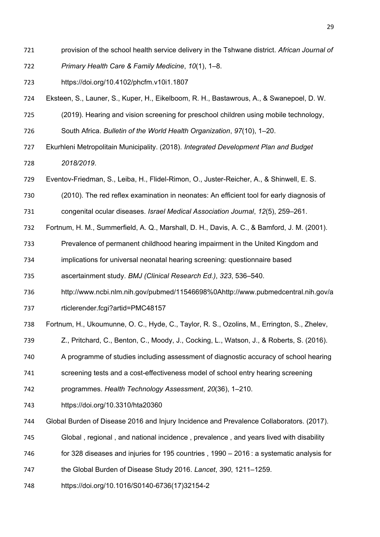- provision of the school health service delivery in the Tshwane district. *African Journal of*
- *Primary Health Care & Family Medicine*, *10*(1), 1–8.
- https://doi.org/10.4102/phcfm.v10i1.1807
- Eksteen, S., Launer, S., Kuper, H., Eikelboom, R. H., Bastawrous, A., & Swanepoel, D. W.
- (2019). Hearing and vision screening for preschool children using mobile technology,
- South Africa. *Bulletin of the World Health Organization*, *97*(10), 1–20.
- Ekurhleni Metropolitain Municipality. (2018). *Integrated Development Plan and Budget 2018/2019*.
- Eventov-Friedman, S., Leiba, H., Flidel-Rimon, O., Juster-Reicher, A., & Shinwell, E. S.
- (2010). The red reflex examination in neonates: An efficient tool for early diagnosis of
- congenital ocular diseases. *Israel Medical Association Journal*, *12*(5), 259–261.
- Fortnum, H. M., Summerfield, A. Q., Marshall, D. H., Davis, A. C., & Bamford, J. M. (2001).
- Prevalence of permanent childhood hearing impairment in the United Kingdom and
- implications for universal neonatal hearing screening: questionnaire based
- ascertainment study. *BMJ (Clinical Research Ed.)*, *323*, 536–540.
- http://www.ncbi.nlm.nih.gov/pubmed/11546698%0Ahttp://www.pubmedcentral.nih.gov/a
- rticlerender.fcgi?artid=PMC48157
- Fortnum, H., Ukoumunne, O. C., Hyde, C., Taylor, R. S., Ozolins, M., Errington, S., Zhelev,
- Z., Pritchard, C., Benton, C., Moody, J., Cocking, L., Watson, J., & Roberts, S. (2016).
- A programme of studies including assessment of diagnostic accuracy of school hearing
- screening tests and a cost-effectiveness model of school entry hearing screening
- programmes. *Health Technology Assessment*, *20*(36), 1–210.
- https://doi.org/10.3310/hta20360
- Global Burden of Disease 2016 and Injury Incidence and Prevalence Collaborators. (2017).
- Global , regional , and national incidence , prevalence , and years lived with disability
- for 328 diseases and injuries for 195 countries , 1990 2016 : a systematic analysis for
- the Global Burden of Disease Study 2016. *Lancet*, *390*, 1211–1259.
- https://doi.org/10.1016/S0140-6736(17)32154-2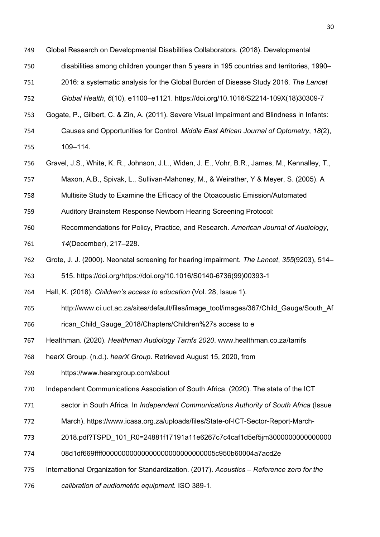Global Research on Developmental Disabilities Collaborators. (2018). Developmental

- disabilities among children younger than 5 years in 195 countries and territories, 1990–
- 2016: a systematic analysis for the Global Burden of Disease Study 2016. *The Lancet*
- *Global Health*, *6*(10), e1100–e1121. https://doi.org/10.1016/S2214-109X(18)30309-7
- Gogate, P., Gilbert, C. & Zin, A. (2011). Severe Visual Impairment and Blindness in Infants:
- Causes and Opportunities for Control. *Middle East African Journal of Optometry*, *18*(2), 109–114.
- Gravel, J.S., White, K. R., Johnson, J.L., Widen, J. E., Vohr, B.R., James, M., Kennalley, T.,
- Maxon, A.B., Spivak, L., Sullivan-Mahoney, M., & Weirather, Y & Meyer, S. (2005). A
- Multisite Study to Examine the Efficacy of the Otoacoustic Emission/Automated
- Auditory Brainstem Response Newborn Hearing Screening Protocol:
- Recommendations for Policy, Practice, and Research. *American Journal of Audiology*, *14*(December), 217–228.
- Grote, J. J. (2000). Neonatal screening for hearing impairment. *The Lancet*, *355*(9203), 514–
- 515. https://doi.org/https://doi.org/10.1016/S0140-6736(99)00393-1
- Hall, K. (2018). *Children's access to education* (Vol. 28, Issue 1).
- 765 http://www.ci.uct.ac.za/sites/default/files/image\_tool/images/367/Child\_Gauge/South\_Af
- 766 rican Child Gauge 2018/Chapters/Children%27s access to e
- Healthman. (2020). *Healthman Audiology Tarrifs 2020*. www.healthman.co.za/tarrifs
- hearX Group. (n.d.). *hearX Group*. Retrieved August 15, 2020, from
- https://www.hearxgroup.com/about
- Independent Communications Association of South Africa. (2020). The state of the ICT
- sector in South Africa. In *Independent Communications Authority of South Africa* (Issue
- March). https://www.icasa.org.za/uploads/files/State-of-ICT-Sector-Report-March-
- 2018.pdf?TSPD\_101\_R0=24881f17191a11e6267c7c4caf1d5ef5jm3000000000000000
- 08d1df669ffff00000000000000000000000000005c950b60004a7acd2e
- International Organization for Standardization. (2017). *Acoustics – Reference zero for the*
- *calibration of audiometric equipment.* ISO 389-1.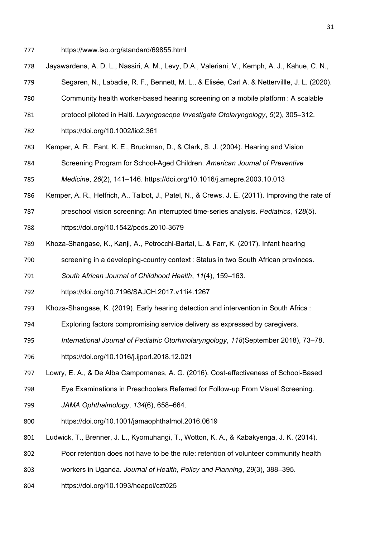- https://www.iso.org/standard/69855.html
- Jayawardena, A. D. L., Nassiri, A. M., Levy, D.A., Valeriani, V., Kemph, A. J., Kahue, C. N.,
- Segaren, N., Labadie, R. F., Bennett, M. L., & Elisée, Carl A. & Nettervillle, J. L. (2020).
- Community health worker-based hearing screening on a mobile platform : A scalable
- protocol piloted in Haiti. *Laryngoscope Investigate Otolaryngology*, *5*(2), 305–312.
- https://doi.org/10.1002/lio2.361
- Kemper, A. R., Fant, K. E., Bruckman, D., & Clark, S. J. (2004). Hearing and Vision
- Screening Program for School-Aged Children. *American Journal of Preventive*

*Medicine*, *26*(2), 141–146. https://doi.org/10.1016/j.amepre.2003.10.013

- Kemper, A. R., Helfrich, A., Talbot, J., Patel, N., & Crews, J. E. (2011). Improving the rate of
- preschool vision screening: An interrupted time-series analysis. *Pediatrics*, *128*(5).
- https://doi.org/10.1542/peds.2010-3679
- Khoza-Shangase, K., Kanji, A., Petrocchi-Bartal, L. & Farr, K. (2017). Infant hearing
- screening in a developing-country context : Status in two South African provinces.
- *South African Journal of Childhood Health*, *11*(4), 159–163.
- https://doi.org/10.7196/SAJCH.2017.v11i4.1267
- Khoza-Shangase, K. (2019). Early hearing detection and intervention in South Africa :
- Exploring factors compromising service delivery as expressed by caregivers.
- *International Journal of Pediatric Otorhinolaryngology*, *118*(September 2018), 73–78.
- https://doi.org/10.1016/j.ijporl.2018.12.021
- Lowry, E. A., & De Alba Campomanes, A. G. (2016). Cost-effectiveness of School-Based
- Eye Examinations in Preschoolers Referred for Follow-up From Visual Screening.
- *JAMA Ophthalmology*, *134*(6), 658–664.
- https://doi.org/10.1001/jamaophthalmol.2016.0619
- Ludwick, T., Brenner, J. L., Kyomuhangi, T., Wotton, K. A., & Kabakyenga, J. K. (2014).
- Poor retention does not have to be the rule: retention of volunteer community health
- workers in Uganda. *Journal of Health, Policy and Planning*, *29*(3), 388–395.
- https://doi.org/10.1093/heapol/czt025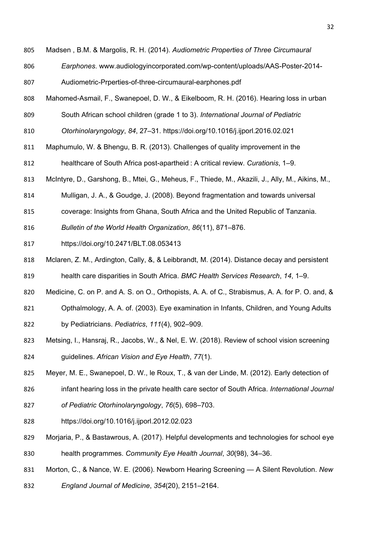Madsen , B.M. & Margolis, R. H. (2014). *Audiometric Properties of Three Circumaural* 

- *Earphones*. www.audiologyincorporated.com/wp-content/uploads/AAS-Poster-2014-
- Audiometric-Prperties-of-three-circumaural-earphones.pdf
- Mahomed-Asmail, F., Swanepoel, D. W., & Eikelboom, R. H. (2016). Hearing loss in urban
- South African school children (grade 1 to 3). *International Journal of Pediatric*

*Otorhinolaryngology*, *84*, 27–31. https://doi.org/10.1016/j.ijporl.2016.02.021

- Maphumulo, W. & Bhengu, B. R. (2013). Challenges of quality improvement in the
- healthcare of South Africa post-apartheid : A critical review. *Curationis*, 1–9.
- McIntyre, D., Garshong, B., Mtei, G., Meheus, F., Thiede, M., Akazili, J., Ally, M., Aikins, M.,
- Mulligan, J. A., & Goudge, J. (2008). Beyond fragmentation and towards universal
- coverage: Insights from Ghana, South Africa and the United Republic of Tanzania.
- *Bulletin of the World Health Organization*, *86*(11), 871–876.
- https://doi.org/10.2471/BLT.08.053413
- Mclaren, Z. M., Ardington, Cally, &, & Leibbrandt, M. (2014). Distance decay and persistent health care disparities in South Africa. *BMC Health Services Research*, *14*, 1–9.
- Medicine, C. on P. and A. S. on O., Orthopists, A. A. of C., Strabismus, A. A. for P. O. and, &
- Opthalmology, A. A. of. (2003). Eye examination in Infants, Children, and Young Adults
- by Pediatricians. *Pediatrics*, *111*(4), 902–909.
- Metsing, I., Hansraj, R., Jacobs, W., & Nel, E. W. (2018). Review of school vision screening guidelines. *African Vision and Eye Health*, *77*(1).
- Meyer, M. E., Swanepoel, D. W., le Roux, T., & van der Linde, M. (2012). Early detection of
- infant hearing loss in the private health care sector of South Africa. *International Journal*
- *of Pediatric Otorhinolaryngology*, *76*(5), 698–703.
- https://doi.org/10.1016/j.ijporl.2012.02.023
- Morjaria, P., & Bastawrous, A. (2017). Helpful developments and technologies for school eye health programmes. *Community Eye Health Journal*, *30*(98), 34–36.
- Morton, C., & Nance, W. E. (2006). Newborn Hearing Screening A Silent Revolution. *New*
- *England Journal of Medicine*, *354*(20), 2151–2164.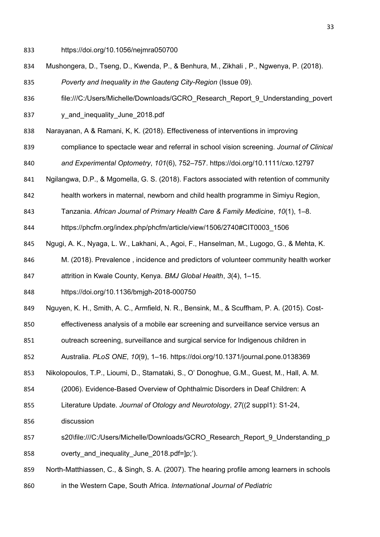- https://doi.org/10.1056/nejmra050700
- Mushongera, D., Tseng, D., Kwenda, P., & Benhura, M., Zikhali , P., Ngwenya, P. (2018). *Poverty and Inequality in the Gauteng City-Region* (Issue 09).
- 836 file:///C:/Users/Michelle/Downloads/GCRO\_Research\_Report\_9\_Understanding\_povert
- 837 y and inequality June 2018.pdf
- Narayanan, A & Ramani, K, K. (2018). Effectiveness of interventions in improving
- compliance to spectacle wear and referral in school vision screening. *Journal of Clinical and Experimental Optometry*, *101*(6), 752–757. https://doi.org/10.1111/cxo.12797
- Ngilangwa, D.P., & Mgomella, G. S. (2018). Factors associated with retention of community
- health workers in maternal, newborn and child health programme in Simiyu Region,
- Tanzania. *African Journal of Primary Health Care & Family Medicine*, *10*(1), 1–8.
- https://phcfm.org/index.php/phcfm/article/view/1506/2740#CIT0003\_1506
- Ngugi, A. K., Nyaga, L. W., Lakhani, A., Agoi, F., Hanselman, M., Lugogo, G., & Mehta, K.
- M. (2018). Prevalence , incidence and predictors of volunteer community health worker
- attrition in Kwale County, Kenya. *BMJ Global Health*, *3*(4), 1–15.
- https://doi.org/10.1136/bmjgh-2018-000750
- Nguyen, K. H., Smith, A. C., Armfield, N. R., Bensink, M., & Scuffham, P. A. (2015). Cost-
- effectiveness analysis of a mobile ear screening and surveillance service versus an
- outreach screening, surveillance and surgical service for Indigenous children in
- Australia. *PLoS ONE*, *10*(9), 1–16. https://doi.org/10.1371/journal.pone.0138369
- Nikolopoulos, T.P., Lioumi, D., Stamataki, S., O' Donoghue, G.M., Guest, M., Hall, A. M.
- (2006). Evidence-Based Overview of Ophthalmic Disorders in Deaf Children: A
- Literature Update. *Journal of Otology and Neurotology*, *27*((2 suppl1): S1-24,
- discussion
- 857 s20\file:///C:/Users/Michelle/Downloads/GCRO\_Research\_Report\_9\_Understanding\_p 858 overty and inequality June 2018.pdf=]p;').
- North-Matthiassen, C., & Singh, S. A. (2007). The hearing profile among learners in schools
- in the Western Cape, South Africa. *International Journal of Pediatric*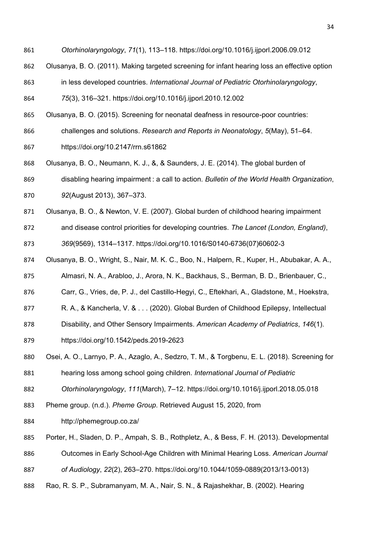- *Otorhinolaryngology*, *71*(1), 113–118. https://doi.org/10.1016/j.ijporl.2006.09.012
- Olusanya, B. O. (2011). Making targeted screening for infant hearing loss an effective option
- in less developed countries. *International Journal of Pediatric Otorhinolaryngology*,
- *75*(3), 316–321. https://doi.org/10.1016/j.ijporl.2010.12.002
- Olusanya, B. O. (2015). Screening for neonatal deafness in resource-poor countries:
- challenges and solutions. *Research and Reports in Neonatology*, *5*(May), 51–64.
- https://doi.org/10.2147/rrn.s61862
- Olusanya, B. O., Neumann, K. J., &, & Saunders, J. E. (2014). The global burden of
- disabling hearing impairment : a call to action. *Bulletin of the World Health Organization*,
- *92*(August 2013), 367–373.
- Olusanya, B. O., & Newton, V. E. (2007). Global burden of childhood hearing impairment
- and disease control priorities for developing countries. *The Lancet (London, England)*,
- *369*(9569), 1314–1317. https://doi.org/10.1016/S0140-6736(07)60602-3
- Olusanya, B. O., Wright, S., Nair, M. K. C., Boo, N., Halpern, R., Kuper, H., Abubakar, A. A.,
- Almasri, N. A., Arabloo, J., Arora, N. K., Backhaus, S., Berman, B. D., Brienbauer, C.,
- Carr, G., Vries, de, P. J., del Castillo-Hegyi, C., Eftekhari, A., Gladstone, M., Hoekstra,
- 877 R. A., & Kancherla, V. & ... (2020). Global Burden of Childhood Epilepsy, Intellectual
- Disability, and Other Sensory Impairments. *American Academy of Pediatrics*, *146*(1).
- https://doi.org/10.1542/peds.2019-2623
- Osei, A. O., Larnyo, P. A., Azaglo, A., Sedzro, T. M., & Torgbenu, E. L. (2018). Screening for
- hearing loss among school going children. *International Journal of Pediatric*
- *Otorhinolaryngology*, *111*(March), 7–12. https://doi.org/10.1016/j.ijporl.2018.05.018
- Pheme group. (n.d.). *Pheme Group*. Retrieved August 15, 2020, from
- http://phemegroup.co.za/
- Porter, H., Sladen, D. P., Ampah, S. B., Rothpletz, A., & Bess, F. H. (2013). Developmental
- Outcomes in Early School-Age Children with Minimal Hearing Loss. *American Journal*
- *of Audiology*, *22*(2), 263–270. https://doi.org/10.1044/1059-0889(2013/13-0013)
- Rao, R. S. P., Subramanyam, M. A., Nair, S. N., & Rajashekhar, B. (2002). Hearing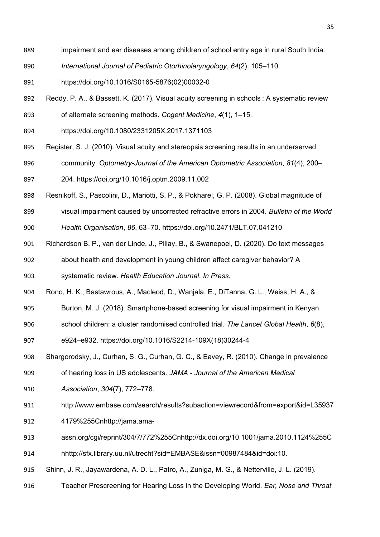- impairment and ear diseases among children of school entry age in rural South India.
- *International Journal of Pediatric Otorhinolaryngology*, *64*(2), 105–110.
- https://doi.org/10.1016/S0165-5876(02)00032-0
- Reddy, P. A., & Bassett, K. (2017). Visual acuity screening in schools : A systematic review
- of alternate screening methods. *Cogent Medicine*, *4*(1), 1–15.
- https://doi.org/10.1080/2331205X.2017.1371103
- Register, S. J. (2010). Visual acuity and stereopsis screening results in an underserved
- community. *Optometry-Journal of the American Optometric Association*, *81*(4), 200–
- 204. https://doi.org/10.1016/j.optm.2009.11.002
- Resnikoff, S., Pascolini, D., Mariotti, S. P., & Pokharel, G. P. (2008). Global magnitude of
- visual impairment caused by uncorrected refractive errors in 2004. *Bulletin of the World*
- *Health Organisation*, *86*, 63–70. https://doi.org/10.2471/BLT.07.041210
- Richardson B. P., van der Linde, J., Pillay, B., & Swanepoel, D. (2020). Do text messages
- about health and development in young children affect caregiver behavior? A

systematic review. *Health Education Journal*, *In Press*.

- Rono, H. K., Bastawrous, A., Macleod, D., Wanjala, E., DiTanna, G. L., Weiss, H. A., &
- Burton, M. J. (2018). Smartphone-based screening for visual impairment in Kenyan
- school children: a cluster randomised controlled trial. *The Lancet Global Health*, *6*(8),
- e924–e932. https://doi.org/10.1016/S2214-109X(18)30244-4
- Shargorodsky, J., Curhan, S. G., Curhan, G. C., & Eavey, R. (2010). Change in prevalence
- of hearing loss in US adolescents. *JAMA - Journal of the American Medical*
- *Association*, *304*(7), 772–778.
- http://www.embase.com/search/results?subaction=viewrecord&from=export&id=L35937
- 4179%255Cnhttp://jama.ama-
- assn.org/cgi/reprint/304/7/772%255Cnhttp://dx.doi.org/10.1001/jama.2010.1124%255C
- nhttp://sfx.library.uu.nl/utrecht?sid=EMBASE&issn=00987484&id=doi:10.
- Shinn, J. R., Jayawardena, A. D. L., Patro, A., Zuniga, M. G., & Netterville, J. L. (2019).
- Teacher Prescreening for Hearing Loss in the Developing World. *Ear, Nose and Throat*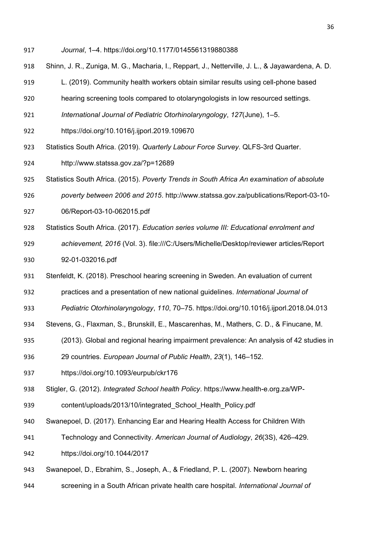- *Journal*, 1–4. https://doi.org/10.1177/0145561319880388
- Shinn, J. R., Zuniga, M. G., Macharia, I., Reppart, J., Netterville, J. L., & Jayawardena, A. D.
- L. (2019). Community health workers obtain similar results using cell-phone based
- hearing screening tools compared to otolaryngologists in low resourced settings.
- *International Journal of Pediatric Otorhinolaryngology*, *127*(June), 1–5.
- https://doi.org/10.1016/j.ijporl.2019.109670
- Statistics South Africa. (2019). *Quarterly Labour Force Survey*. QLFS-3rd Quarter.
- http://www.statssa.gov.za/?p=12689
- Statistics South Africa. (2015). *Poverty Trends in South Africa An examination of absolute*
- *poverty between 2006 and 2015*. http://www.statssa.gov.za/publications/Report-03-10-
- 06/Report-03-10-062015.pdf
- Statistics South Africa. (2017). *Education series volume III: Educational enrolment and*
- *achievement, 2016* (Vol. 3). file:///C:/Users/Michelle/Desktop/reviewer articles/Report 92-01-032016.pdf
- Stenfeldt, K. (2018). Preschool hearing screening in Sweden. An evaluation of current
- practices and a presentation of new national guidelines. *International Journal of*
- *Pediatric Otorhinolaryngology*, *110*, 70–75. https://doi.org/10.1016/j.ijporl.2018.04.013
- Stevens, G., Flaxman, S., Brunskill, E., Mascarenhas, M., Mathers, C. D., & Finucane, M.
- (2013). Global and regional hearing impairment prevalence: An analysis of 42 studies in
- 29 countries. *European Journal of Public Health*, *23*(1), 146–152.
- https://doi.org/10.1093/eurpub/ckr176
- Stigler, G. (2012). *Integrated School health Policy*. https://www.health-e.org.za/WP-
- content/uploads/2013/10/integrated\_School\_Health\_Policy.pdf
- Swanepoel, D. (2017). Enhancing Ear and Hearing Health Access for Children With
- Technology and Connectivity. *American Journal of Audiology*, *26*(3S), 426–429.
- https://doi.org/10.1044/2017
- Swanepoel, D., Ebrahim, S., Joseph, A., & Friedland, P. L. (2007). Newborn hearing
- screening in a South African private health care hospital. *International Journal of*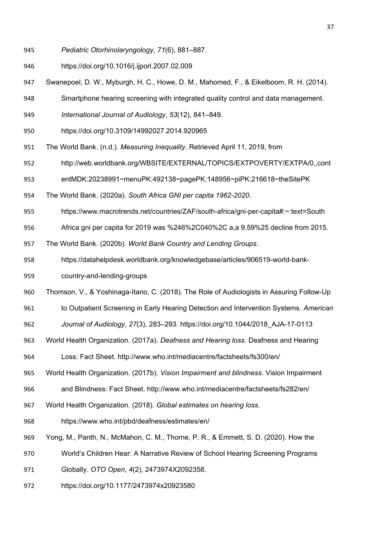- *Pediatric Otorhinolaryngology*, *71*(6), 881–887.
- https://doi.org/10.1016/j.ijporl.2007.02.009
- Swanepoel, D. W., Myburgh, H. C., Howe, D. M., Mahomed, F., & Eikelboom, R. H. (2014).
- Smartphone hearing screening with integrated quality control and data management.
- *International Journal of Audiology*, *53*(12), 841–849.
- https://doi.org/10.3109/14992027.2014.920965
- The World Bank. (n.d.). *Measuring Inequality*. Retrieved April 11, 2019, from
- http://web.worldbank.org/WBSITE/EXTERNAL/TOPICS/EXTPOVERTY/EXTPA/0,,cont
- entMDK:20238991~menuPK:492138~pagePK:148956~piPK:216618~theSitePK
- The World Bank. (2020a). *South Africa GNI per capita 1962-2020*.
- https://www.macrotrends.net/countries/ZAF/south-africa/gni-per-capita#:~:text=South
- Africa gni per capita for 2019 was %246%2C040%2C a,a 9.59%25 decline from 2015.
- The World Bank. (2020b). *World Bank Country and Lending Groups*.
- https://datahelpdesk.worldbank.org/knowledgebase/articles/906519-world-bank-
- country-and-lending-groups
- Thomson, V., & Yoshinaga-Itano, C. (2018). The Role of Audiologists in Assuring Follow-Up
- to Outpatient Screening in Early Hearing Detection and Intervention Systems. *American*
- *Journal of Audiology*, *27*(3), 283–293. https://doi.org/10.1044/2018\_AJA-17-0113
- World Health Organization. (2017a). *Deafness and Hearing loss*. Deafness and Hearing
- Loss: Fact Sheet. http://www.who.int/mediacentre/factsheets/fs300/en/
- World Health Organization. (2017b). *Vision Impairment and blindness*. Vision Impairment
- and Blindness: Fact Sheet. http://www.who.int/mediacentre/factsheets/fs282/en/
- World Health Organization. (2018). *Global estimates on hearing loss*.
- https://www.who.int/pbd/deafness/estimates/en/
- Yong, M., Panth, N., McMahon, C. M., Thorne, P. R., & Emmett, S. D. (2020). How the
- World's Children Hear: A Narrative Review of School Hearing Screening Programs
- Globally. *OTO Open*, *4*(2), 2473974X2092358.
- https://doi.org/10.1177/2473974x20923580